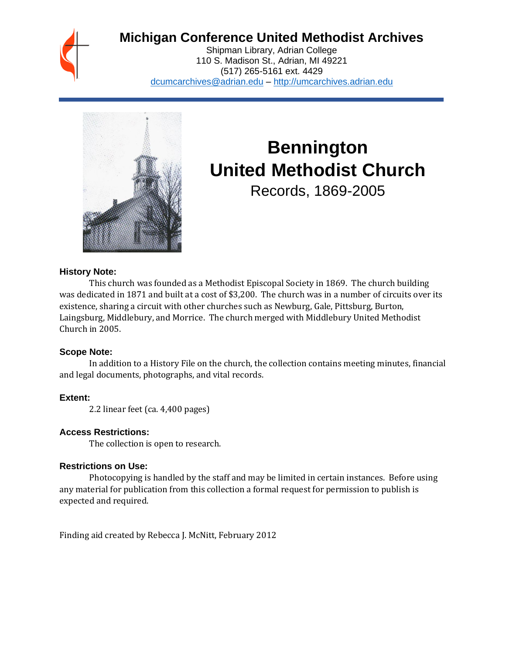

# **Michigan Conference United Methodist Archives**

Shipman Library, Adrian College 110 S. Madison St., Adrian, MI 49221 (517) 265-5161 ext. 4429 [dcumcarchives@adrian.edu](mailto:dcumcarchives@adrian.edu) – [http://umcarchives.adrian.edu](http://umcarchives.adrian.edu/)



# **Bennington United Methodist Church**

Records, 1869-2005

## **History Note:**

This church was founded as a Methodist Episcopal Society in 1869. The church building was dedicated in 1871 and built at a cost of \$3,200. The church was in a number of circuits over its existence, sharing a circuit with other churches such as Newburg, Gale, Pittsburg, Burton, Laingsburg, Middlebury, and Morrice. The church merged with Middlebury United Methodist Church in 2005.

## **Scope Note:**

In addition to a History File on the church, the collection contains meeting minutes, financial and legal documents, photographs, and vital records.

# **Extent:**

2.2 linear feet (ca. 4,400 pages)

# **Access Restrictions:**

The collection is open to research.

## **Restrictions on Use:**

Photocopying is handled by the staff and may be limited in certain instances. Before using any material for publication from this collection a formal request for permission to publish is expected and required.

Finding aid created by Rebecca J. McNitt, February 2012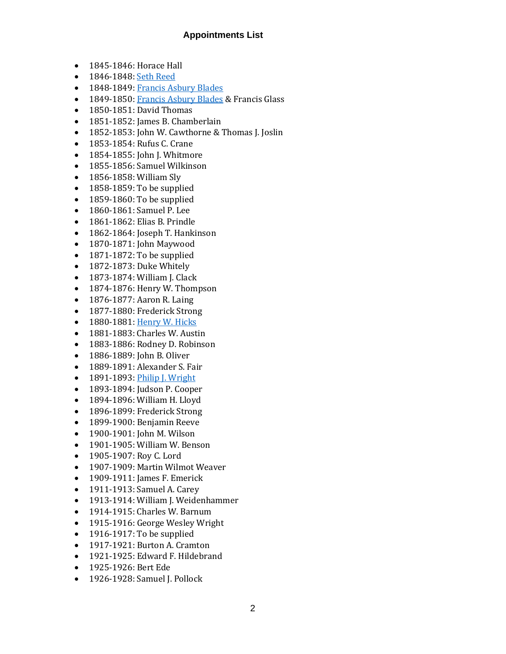# **Appointments List**

- 1845-1846: Horace Hall
- 1846-1848[: Seth Reed](http://umcarchives.adrian.edu/clergy/reeds.php)
- 1848-1849[: Francis Asbury Blades](http://umcarchives.adrian.edu/clergy/bladesfa.php)
- 1849-1850[: Francis Asbury Blades](http://umcarchives.adrian.edu/clergy/bladesfa.php) & Francis Glass
- 1850-1851: David Thomas
- 1851-1852: James B. Chamberlain
- 1852-1853: John W. Cawthorne & Thomas J. Joslin
- 1853-1854: Rufus C. Crane
- 1854-1855: John J. Whitmore
- 1855-1856: Samuel Wilkinson
- 1856-1858: William Sly
- 1858-1859: To be supplied
- 1859-1860: To be supplied
- 1860-1861: Samuel P. Lee
- 1861-1862: Elias B. Prindle
- 1862-1864: Joseph T. Hankinson
- 1870-1871: John Maywood
- 1871-1872: To be supplied
- 1872-1873: Duke Whitely
- 1873-1874: William J. Clack
- 1874-1876: Henry W. Thompson
- 1876-1877: Aaron R. Laing
- 1877-1880: Frederick Strong
- 1880-1881[: Henry W. Hicks](http://umcarchives.adrian.edu/fa/hickshwpapers.pdf)
- 1881-1883: Charles W. Austin
- 1883-1886: Rodney D. Robinson
- 1886-1889: John B. Oliver
- 1889-1891: Alexander S. Fair
- 1891-1893[: Philip J. Wright](http://umcarchives.adrian.edu/clergy/wrightpj.php)
- 1893-1894: Judson P. Cooper
- 1894-1896: William H. Lloyd
- 1896-1899: Frederick Strong
- 1899-1900: Benjamin Reeve
- 1900-1901: John M. Wilson
- 1901-1905: William W. Benson
- 1905-1907: Roy C. Lord
- 1907-1909: Martin Wilmot Weaver
- 1909-1911: James F. Emerick
- 1911-1913: Samuel A. Carey
- 1913-1914: William J. Weidenhammer
- 1914-1915: Charles W. Barnum
- 1915-1916: George Wesley Wright
- 1916-1917: To be supplied
- 1917-1921: Burton A. Cramton
- 1921-1925: Edward F. Hildebrand
- 1925-1926: Bert Ede
- 1926-1928: Samuel J. Pollock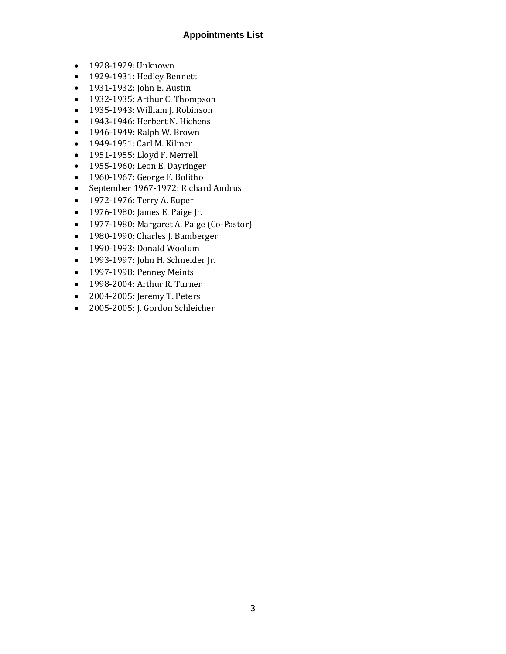# **Appointments List**

- 1928-1929: Unknown
- 1929-1931: Hedley Bennett
- 1931-1932: John E. Austin
- 1932-1935: Arthur C. Thompson
- 1935-1943: William J. Robinson
- 1943-1946: Herbert N. Hichens
- 1946-1949: Ralph W. Brown
- 1949-1951: Carl M. Kilmer
- 1951-1955: Lloyd F. Merrell
- 1955-1960: Leon E. Dayringer
- 1960-1967: George F. Bolitho
- September 1967-1972: Richard Andrus
- 1972-1976: Terry A. Euper
- 1976-1980: James E. Paige Jr.
- 1977-1980: Margaret A. Paige (Co-Pastor)
- 1980-1990: Charles J. Bamberger
- 1990-1993: Donald Woolum
- 1993-1997: John H. Schneider Jr.
- 1997-1998: Penney Meints
- 1998-2004: Arthur R. Turner
- 2004-2005: Jeremy T. Peters
- 2005-2005: J. Gordon Schleicher